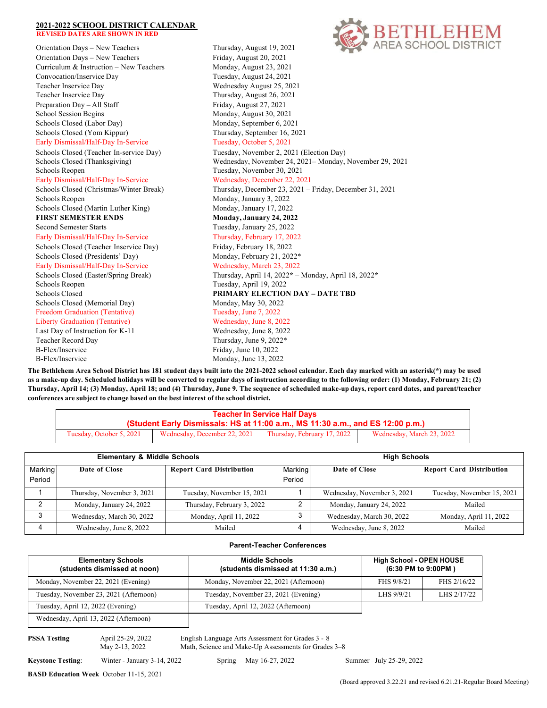## **2021-2022 SCHOOL DISTRICT CALENDAR REVISED DATES ARE SHOWN IN RED**

Orientation Days – New Teachers Thursday, August 19, 2021 Orientation Days - New Teachers Friday, August 20, 2021 Curriculum & Instruction - New Teachers Monday, August 23, 2021 Convocation/Inservice Day Tuesday, August 24, 2021 Teacher Inservice Day Wednesday August 25, 2021 Teacher Inservice Day Thursday, August 26, 2021 Preparation Day – All Staff Friday, August 27, 2021 School Session Begins Monday, August 30, 2021 Schools Closed (Labor Day) Monday, September 6, 2021 Schools Closed (Yom Kippur) Thursday, September 16, 2021 Early Dismissal/Half-Day In-Service Tuesday, October 5, 2021 Schools Closed (Teacher In-service Day) Tuesday, November 2, 2021 (Election Day) Schools Reopen Tuesday, November 30, 2021 Early Dismissal/Half-Day In-Service Wednesday, December 22, 2021 Schools Reopen Monday, January 3, 2022 Schools Closed (Martin Luther King) Monday, January 17, 2022 **FIRST SEMESTER ENDS Monday, January 24, 2022** Second Semester Starts Tuesday, January 25, 2022 Early Dismissal/Half-Day In-Service Thursday, February 17, 2022 Schools Closed (Teacher Inservice Day) Friday, February 18, 2022 Schools Closed (Presidents' Day) Monday, February 21, 2022\* Early Dismissal/Half-Day In-Service Wednesday, March 23, 2022 Schools Reopen Tuesday, April 19, 2022 Schools Closed **PRIMARY ELECTION DAY – DATE TBD** Schools Closed (Memorial Day) Monday, May 30, 2022 Freedom Graduation (Tentative) Tuesday, June 7, 2022 Liberty Graduation (Tentative) Wednesday, June 8, 2022 Last Day of Instruction for K-11 Wednesday, June 8, 2022 Teacher Record Day Thursday, June 9, 2022\* B-Flex/Inservice Friday, June 10, 2022 B-Flex/Inservice Monday, June 13, 2022



Schools Closed (Thanksgiving) Wednesday, November 24, 2021– Monday, November 29, 2021 Schools Closed (Christmas/Winter Break) Thursday, December 23, 2021 – Friday, December 31, 2021 Schools Closed (Easter/Spring Break) Thursday, April 14, 2022**\*** – Monday, April 18, 2022**\***

**The Bethlehem Area School District has 181 student days built into the 2021-2022 school calendar. Each day marked with an asterisk(\*) may be used as a make-up day. Scheduled holidays will be converted to regular days of instruction according to the following order: (1) Monday, February 21; (2) Thursday, April 14; (3) Monday, April 18; and (4) Thursday, June 9. The sequence of scheduled make-up days, report card dates, and parent/teacher conferences are subject to change based on the best interest of the school district.**

| <b>Teacher In Service Half Days</b>                                            |                              |                             |                           |  |  |  |
|--------------------------------------------------------------------------------|------------------------------|-----------------------------|---------------------------|--|--|--|
| (Student Early Dismissals: HS at 11:00 a.m., MS 11:30 a.m., and ES 12:00 p.m.) |                              |                             |                           |  |  |  |
| Tuesday, October 5, 2021                                                       | Wednesday, December 22, 2021 | Thursday, February 17, 2022 | Wednesday, March 23, 2022 |  |  |  |

| <b>Elementary &amp; Middle Schools</b> |                            |                                 | <b>High Schools</b> |                             |                                 |  |
|----------------------------------------|----------------------------|---------------------------------|---------------------|-----------------------------|---------------------------------|--|
| Marking<br>Period                      | Date of Close              | <b>Report Card Distribution</b> | Marking<br>Period   | Date of Close               | <b>Report Card Distribution</b> |  |
|                                        | Thursday, November 3, 2021 | Tuesday, November 15, 2021      |                     | Wednesday, November 3, 2021 | Tuesday, November 15, 2021      |  |
|                                        | Monday, January 24, 2022   | Thursday, February 3, 2022      |                     | Monday, January 24, 2022    | Mailed                          |  |
| 3                                      | Wednesday, March 30, 2022  | Monday, April 11, 2022          |                     | Wednesday, March 30, 2022   | Monday, April 11, 2022          |  |
|                                        | Wednesday, June 8, 2022    | Mailed                          |                     | Wednesday, June 8, 2022     | Mailed                          |  |

## **Parent-Teacher Conferences**

| <b>Elementary Schools</b><br>(students dismissed at noon) | <b>Middle Schools</b><br>(students dismissed at 11:30 a.m.) |            | <b>High School - OPEN HOUSE</b><br>(6:30 PM to 9:00PM) |  |  |  |
|-----------------------------------------------------------|-------------------------------------------------------------|------------|--------------------------------------------------------|--|--|--|
| Monday, November 22, 2021 (Evening)                       | Monday, November 22, 2021 (Afternoon)                       | FHS 9/8/21 | FHS 2/16/22                                            |  |  |  |
| Tuesday, November 23, 2021 (Afternoon)                    | Tuesday, November 23, 2021 (Evening)                        | LHS 9/9/21 | LHS 2/17/22                                            |  |  |  |
| Tuesday, April 12, 2022 (Evening)                         | Tuesday, April 12, 2022 (Afternoon)                         |            |                                                        |  |  |  |
| Wednesday, April 13, 2022 (Afternoon)                     |                                                             |            |                                                        |  |  |  |

**PSSA Testing** April 25-29, 2022 English Language Arts Assessment for Grades 3 - 8 May 2-13, 2022 Math, Science and Make-Up Assessments for Grades 3–8

**Keystone Testing**: Winter - January 3-14, 2022 Spring – May 16-27, 2022 Summer –July 25-29, 2022

**BASD Education Week** October 11-15, 2021